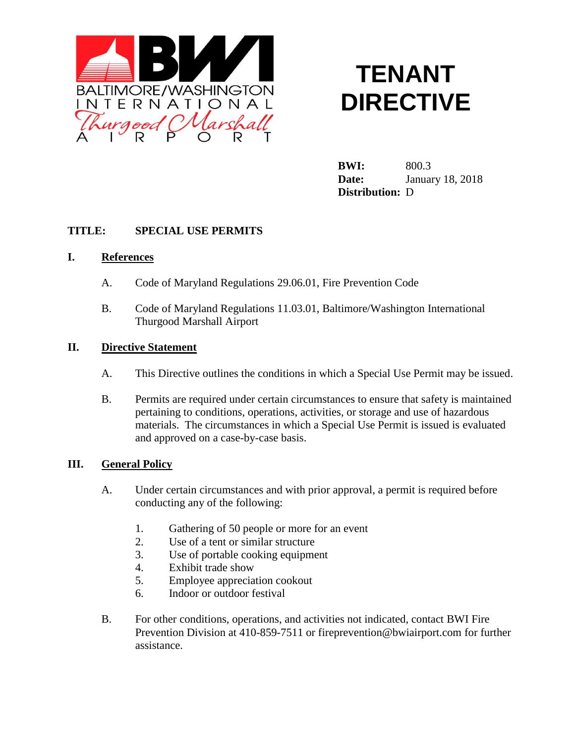

# **TENANT DIRECTIVE**

**BWI:** 800.3 **Date:** January 18, 2018 **Distribution:** D

## **TITLE: SPECIAL USE PERMITS**

#### **I. References**

- A. Code of Maryland Regulations 29.06.01, Fire Prevention Code
- B. Code of Maryland Regulations 11.03.01, Baltimore/Washington International Thurgood Marshall Airport

### **II. Directive Statement**

- A. This Directive outlines the conditions in which a Special Use Permit may be issued.
- B. Permits are required under certain circumstances to ensure that safety is maintained pertaining to conditions, operations, activities, or storage and use of hazardous materials. The circumstances in which a Special Use Permit is issued is evaluated and approved on a case-by-case basis.

#### **III. General Policy**

- A. Under certain circumstances and with prior approval, a permit is required before conducting any of the following:
	- 1. Gathering of 50 people or more for an event
	- 2. Use of a tent or similar structure
	- 3. Use of portable cooking equipment
	- 4. Exhibit trade show
	- 5. Employee appreciation cookout
	- 6. Indoor or outdoor festival
- B. For other conditions, operations, and activities not indicated, contact BWI Fire Prevention Division at 410-859-7511 or fireprevention@bwiairport.com for further assistance.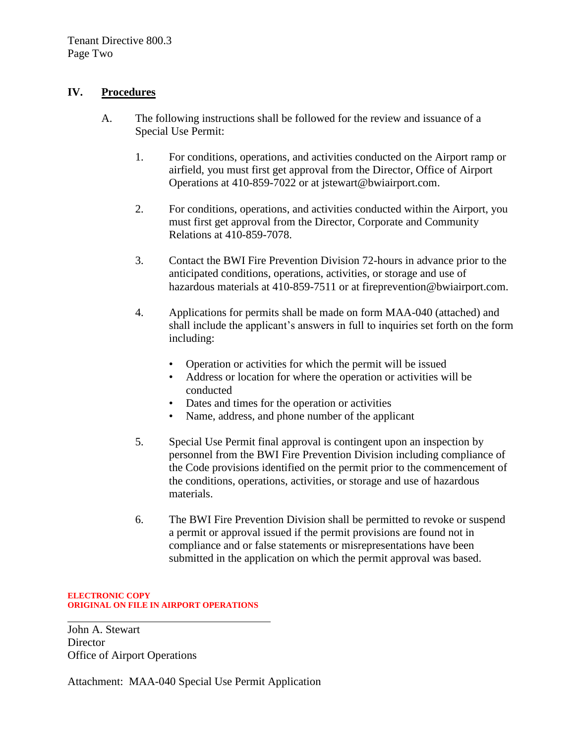## **IV. Procedures**

- A. The following instructions shall be followed for the review and issuance of a Special Use Permit:
	- 1. For conditions, operations, and activities conducted on the Airport ramp or airfield, you must first get approval from the Director, Office of Airport Operations at 410-859-7022 or at jstewart@bwiairport.com.
	- 2. For conditions, operations, and activities conducted within the Airport, you must first get approval from the Director, Corporate and Community Relations at 410-859-7078.
	- 3. Contact the BWI Fire Prevention Division 72-hours in advance prior to the anticipated conditions, operations, activities, or storage and use of hazardous materials at 410-859-7511 or at fireprevention@bwiairport.com.
	- 4. Applications for permits shall be made on form MAA-040 (attached) and shall include the applicant's answers in full to inquiries set forth on the form including:
		- Operation or activities for which the permit will be issued
		- Address or location for where the operation or activities will be conducted
		- Dates and times for the operation or activities
		- Name, address, and phone number of the applicant
	- 5. Special Use Permit final approval is contingent upon an inspection by personnel from the BWI Fire Prevention Division including compliance of the Code provisions identified on the permit prior to the commencement of the conditions, operations, activities, or storage and use of hazardous materials.
	- 6. The BWI Fire Prevention Division shall be permitted to revoke or suspend a permit or approval issued if the permit provisions are found not in compliance and or false statements or misrepresentations have been submitted in the application on which the permit approval was based.

#### **ELECTRONIC COPY ORIGINAL ON FILE IN AIRPORT OPERATIONS**

John A. Stewart **Director** Office of Airport Operations

Attachment: MAA-040 Special Use Permit Application